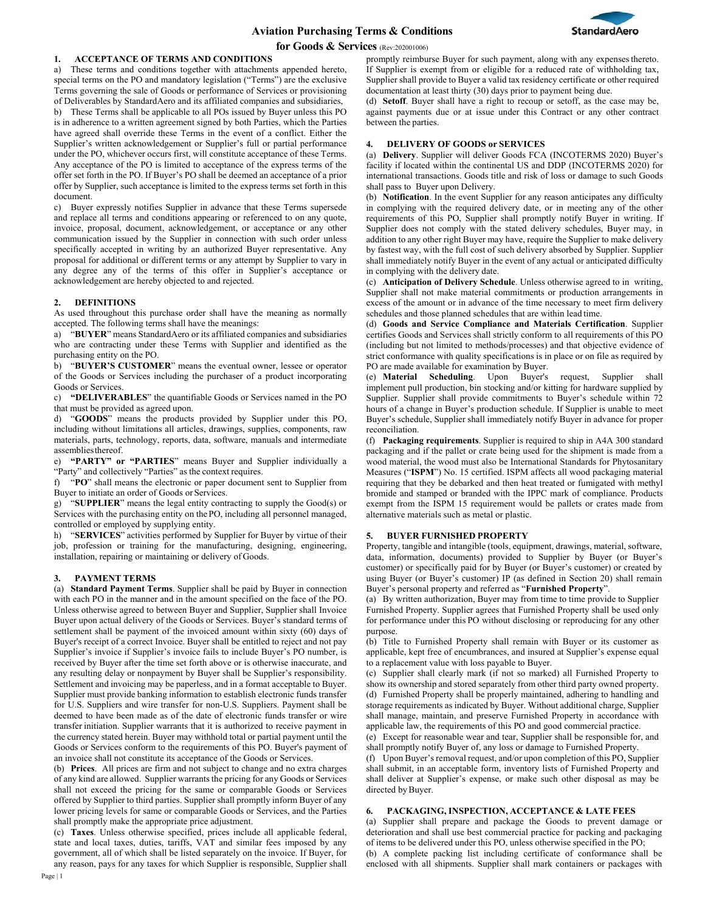

### **1. ACCEPTANCE OF TERMS AND CONDITIONS**

a) These terms and conditions together with attachments appended hereto, special terms on the PO and mandatory legislation ("Terms") are the exclusive Terms governing the sale of Goods or performance of Services or provisioning of Deliverables by StandardAero and its affiliated companies and subsidiaries, b) These Terms shall be applicable to all POs issued by Buyer unless this PO is in adherence to a written agreement signed by both Parties, which the Parties have agreed shall override these Terms in the event of a conflict. Either the Supplier's written acknowledgement or Supplier's full or partial performance under the PO, whichever occurs first, will constitute acceptance of these Terms. Any acceptance of the PO is limited to acceptance of the express terms of the offer set forth in the PO. If Buyer's PO shall be deemed an acceptance of a prior offer by Supplier, such acceptance is limited to the express terms set forth in this document.

c) Buyer expressly notifies Supplier in advance that these Terms supersede and replace all terms and conditions appearing or referenced to on any quote, invoice, proposal, document, acknowledgement, or acceptance or any other communication issued by the Supplier in connection with such order unless specifically accepted in writing by an authorized Buyer representative. Any proposal for additional or different terms or any attempt by Supplier to vary in any degree any of the terms of this offer in Supplier's acceptance or acknowledgement are hereby objected to and rejected.

#### **2. DEFINITIONS**

As used throughout this purchase order shall have the meaning as normally accepted. The following terms shall have the meanings:

a) "**BUYER**" means StandardAero or its affiliated companies and subsidiaries who are contracting under these Terms with Supplier and identified as the purchasing entity on the PO.

b) "**BUYER'S CUSTOMER**" means the eventual owner, lessee or operator of the Goods or Services including the purchaser of a product incorporating Goods or Services.

c) **"DELIVERABLES**" the quantifiable Goods or Services named in the PO that must be provided as agreed upon.

d) "**GOODS**" means the products provided by Supplier under this PO, including without limitations all articles, drawings, supplies, components, raw materials, parts, technology, reports, data, software, manuals and intermediate assembliesthereof.

e) **"PARTY" or "PARTIES**" means Buyer and Supplier individually a "Party" and collectively "Parties" as the context requires.

f) "**PO**" shall means the electronic or paper document sent to Supplier from Buyer to initiate an order of Goods or Services.

g) "**SUPPLIER**" means the legal entity contracting to supply the Good(s) or Services with the purchasing entity on the PO, including all personnel managed, controlled or employed by supplying entity.

h) "**SERVICES**" activities performed by Supplier for Buyer by virtue of their job, profession or training for the manufacturing, designing, engineering, installation, repairing or maintaining or delivery of Goods.

#### **3. PAYMENT TERMS**

(a) **Standard Payment Terms**. Supplier shall be paid by Buyer in connection with each PO in the manner and in the amount specified on the face of the PO. Unless otherwise agreed to between Buyer and Supplier, Supplier shall Invoice Buyer upon actual delivery of the Goods or Services. Buyer's standard terms of settlement shall be payment of the invoiced amount within sixty (60) days of Buyer's receipt of a correct Invoice. Buyer shall be entitled to reject and not pay Supplier's invoice if Supplier's invoice fails to include Buyer's PO number, is received by Buyer after the time set forth above or is otherwise inaccurate, and any resulting delay or nonpayment by Buyer shall be Supplier's responsibility. Settlement and invoicing may be paperless, and in a format acceptable to Buyer. Supplier must provide banking information to establish electronic funds transfer for U.S. Suppliers and wire transfer for non-U.S. Suppliers. Payment shall be deemed to have been made as of the date of electronic funds transfer or wire transfer initiation. Supplier warrants that it is authorized to receive payment in the currency stated herein. Buyer may withhold total or partial payment until the Goods or Services conform to the requirements of this PO. Buyer's payment of an invoice shall not constitute its acceptance of the Goods or Services.

(b) **Prices**. All prices are firm and not subject to change and no extra charges of any kind are allowed. Supplier warrants the pricing for any Goods or Services shall not exceed the pricing for the same or comparable Goods or Services offered by Supplier to third parties. Supplier shall promptly inform Buyer of any lower pricing levels for same or comparable Goods or Services, and the Parties shall promptly make the appropriate price adjustment.

(c) **Taxes**. Unless otherwise specified, prices include all applicable federal, state and local taxes, duties, tariffs, VAT and similar fees imposed by any government, all of which shall be listed separately on the invoice. If Buyer, for any reason, pays for any taxes for which Supplier is responsible, Supplier shall

Page | 1

promptly reimburse Buyer for such payment, along with any expenses thereto. If Supplier is exempt from or eligible for a reduced rate of withholding tax, Supplier shall provide to Buyer a valid tax residency certificate or other required documentation at least thirty (30) days prior to payment being due.

(d) **Setoff**. Buyer shall have a right to recoup or setoff, as the case may be, against payments due or at issue under this Contract or any other contract between the parties.

### **4. DELIVERY OF GOODS or SERVICES**

(a) **Delivery**. Supplier will deliver Goods FCA (INCOTERMS 2020) Buyer's facility if located within the continental US and DDP (INCOTERMS 2020) for international transactions. Goods title and risk of loss or damage to such Goods shall pass to Buyer upon Delivery.

(b) **Notification**. In the event Supplier for any reason anticipates any difficulty in complying with the required delivery date, or in meeting any of the other requirements of this PO, Supplier shall promptly notify Buyer in writing. If Supplier does not comply with the stated delivery schedules, Buyer may, in addition to any other right Buyer may have, require the Supplier to make delivery by fastest way, with the full cost of such delivery absorbed by Supplier. Supplier shall immediately notify Buyer in the event of any actual or anticipated difficulty in complying with the delivery date.

(c) **Anticipation of Delivery Schedule**. Unless otherwise agreed to in writing, Supplier shall not make material commitments or production arrangements in excess of the amount or in advance of the time necessary to meet firm delivery schedules and those planned schedules that are within lead time.

(d) **Goods and Service Compliance and Materials Certification**. Supplier certifies Goods and Services shall strictly conform to all requirements of this PO (including but not limited to methods/processes) and that objective evidence of strict conformance with quality specifications is in place or on file as required by PO are made available for examination by Buyer.

(e) **Material Scheduling**. Upon Buyer's request, Supplier shall implement pull production, bin stocking and/or kitting for hardware supplied by Supplier. Supplier shall provide commitments to Buyer's schedule within 72 hours of a change in Buyer's production schedule. If Supplier is unable to meet Buyer's schedule, Supplier shall immediately notify Buyer in advance for proper reconciliation.

(f) **Packaging requirements**. Supplier is required to ship in A4A 300 standard packaging and if the pallet or crate being used for the shipment is made from a wood material, the wood must also be International Standards for Phytosanitary Measures ("**ISPM**") No. 15 certified. ISPM affects all wood packaging material requiring that they be debarked and then heat treated or fumigated with methyl bromide and stamped or branded with the IPPC mark of compliance. Products exempt from the ISPM 15 requirement would be pallets or crates made from alternative materials such as metal or plastic.

### **5. BUYER FURNISHED PROPERTY**

Property, tangible and intangible (tools, equipment, drawings, material, software, data, information, documents) provided to Supplier by Buyer (or Buyer's customer) or specifically paid for by Buyer (or Buyer's customer) or created by using Buyer (or Buyer's customer) IP (as defined in Section 20) shall remain Buyer's personal property and referred as "**Furnished Property**".

(a) By written authorization, Buyer may from time to time provide to Supplier Furnished Property. Supplier agrees that Furnished Property shall be used only for performance under this PO without disclosing or reproducing for any other purpose.

(b) Title to Furnished Property shall remain with Buyer or its customer as applicable, kept free of encumbrances, and insured at Supplier's expense equal to a replacement value with loss payable to Buyer.

(c) Supplier shall clearly mark (if not so marked) all Furnished Property to show its ownership and stored separately from other third party owned property. (d) Furnished Property shall be properly maintained, adhering to handling and storage requirements as indicated by Buyer. Without additional charge, Supplier shall manage, maintain, and preserve Furnished Property in accordance with applicable law, the requirements of this PO and good commercial practice.

(e) Except for reasonable wear and tear, Supplier shall be responsible for, and shall promptly notify Buyer of, any loss or damage to Furnished Property.

(f) Upon Buyer's removal request, and/or upon completion of this PO, Supplier shall submit, in an acceptable form, inventory lists of Furnished Property and shall deliver at Supplier's expense, or make such other disposal as may be directed by Buyer.

### **6. PACKAGING, INSPECTION, ACCEPTANCE & LATE FEES**

(a) Supplier shall prepare and package the Goods to prevent damage or deterioration and shall use best commercial practice for packing and packaging of items to be delivered under this PO, unless otherwise specified in the PO;

(b) A complete packing list including certificate of conformance shall be enclosed with all shipments. Supplier shall mark containers or packages with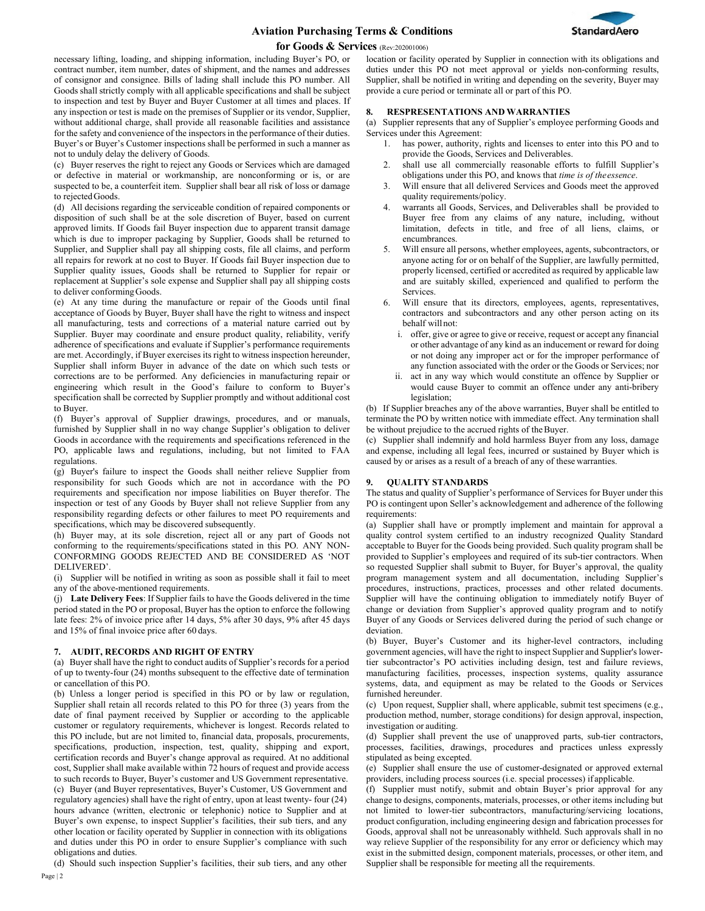# **Aviation Purchasing Terms & Conditions**



### **for Goods & Services** (Rev:202001006)

necessary lifting, loading, and shipping information, including Buyer's PO, or contract number, item number, dates of shipment, and the names and addresses of consignor and consignee. Bills of lading shall include this PO number. All Goods shall strictly comply with all applicable specifications and shall be subject to inspection and test by Buyer and Buyer Customer at all times and places. If any inspection or test is made on the premises of Supplier or its vendor, Supplier, without additional charge, shall provide all reasonable facilities and assistance for the safety and convenience of the inspectors in the performance of their duties. Buyer's or Buyer's Customer inspections shall be performed in such a manner as not to unduly delay the delivery of Goods.

(c) Buyer reserves the right to reject any Goods or Services which are damaged or defective in material or workmanship, are nonconforming or is, or are suspected to be, a counterfeit item. Supplier shall bear all risk of loss or damage to rejected Goods.

(d) All decisions regarding the serviceable condition of repaired components or disposition of such shall be at the sole discretion of Buyer, based on current approved limits. If Goods fail Buyer inspection due to apparent transit damage which is due to improper packaging by Supplier, Goods shall be returned to Supplier, and Supplier shall pay all shipping costs, file all claims, and perform all repairs for rework at no cost to Buyer. If Goods fail Buyer inspection due to Supplier quality issues, Goods shall be returned to Supplier for repair or replacement at Supplier's sole expense and Supplier shall pay all shipping costs to deliver conforming Goods.

(e) At any time during the manufacture or repair of the Goods until final acceptance of Goods by Buyer, Buyer shall have the right to witness and inspect all manufacturing, tests and corrections of a material nature carried out by Supplier. Buyer may coordinate and ensure product quality, reliability, verify adherence of specifications and evaluate if Supplier's performance requirements are met. Accordingly, if Buyer exercises its right to witness inspection hereunder, Supplier shall inform Buyer in advance of the date on which such tests or corrections are to be performed. Any deficiencies in manufacturing repair or engineering which result in the Good's failure to conform to Buyer's specification shall be corrected by Supplier promptly and without additional cost to Buyer.

(f) Buyer's approval of Supplier drawings, procedures, and or manuals, furnished by Supplier shall in no way change Supplier's obligation to deliver Goods in accordance with the requirements and specifications referenced in the PO, applicable laws and regulations, including, but not limited to FAA regulations.

(g) Buyer's failure to inspect the Goods shall neither relieve Supplier from responsibility for such Goods which are not in accordance with the PO requirements and specification nor impose liabilities on Buyer therefor. The inspection or test of any Goods by Buyer shall not relieve Supplier from any responsibility regarding defects or other failures to meet PO requirements and specifications, which may be discovered subsequently.

(h) Buyer may, at its sole discretion, reject all or any part of Goods not conforming to the requirements/specifications stated in this PO. ANY NON-CONFORMING GOODS REJECTED AND BE CONSIDERED AS 'NOT DELIVERED'.

(i) Supplier will be notified in writing as soon as possible shall it fail to meet any of the above-mentioned requirements.

(j) **Late Delivery Fees**: If Supplier fails to have the Goods delivered in the time period stated in the PO or proposal, Buyer has the option to enforce the following late fees: 2% of invoice price after 14 days, 5% after 30 days, 9% after 45 days and 15% of final invoice price after 60 days.

### **7. AUDIT, RECORDS AND RIGHT OF ENTRY**

(a) Buyer shall have the right to conduct audits of Supplier's records for a period of up to twenty-four (24) months subsequent to the effective date of termination or cancellation of this PO.

(b) Unless a longer period is specified in this PO or by law or regulation, Supplier shall retain all records related to this PO for three (3) years from the date of final payment received by Supplier or according to the applicable customer or regulatory requirements, whichever is longest. Records related to this PO include, but are not limited to, financial data, proposals, procurements, specifications, production, inspection, test, quality, shipping and export, certification records and Buyer's change approval as required. At no additional cost, Supplier shall make available within 72 hours of request and provide access to such records to Buyer, Buyer's customer and US Government representative. (c) Buyer (and Buyer representatives, Buyer's Customer, US Government and regulatory agencies) shall have the right of entry, upon at least twenty- four (24) hours advance (written, electronic or telephonic) notice to Supplier and at Buyer's own expense, to inspect Supplier's facilities, their sub tiers, and any other location or facility operated by Supplier in connection with its obligations and duties under this PO in order to ensure Supplier's compliance with such obligations and duties.

(d) Should such inspection Supplier's facilities, their sub tiers, and any other

location or facility operated by Supplier in connection with its obligations and duties under this PO not meet approval or yields non-conforming results, Supplier, shall be notified in writing and depending on the severity, Buyer may provide a cure period or terminate all or part of this PO.

### **8. RESPRESENTATIONS AND WARRANTIES**

(a) Supplier represents that any of Supplier's employee performing Goods and Services under this Agreement:

- 1. has power, authority, rights and licenses to enter into this PO and to provide the Goods, Services and Deliverables.
- 2. shall use all commercially reasonable efforts to fulfill Supplier's obligations under this PO, and knows that *time is of theessence*.
- 3. Will ensure that all delivered Services and Goods meet the approved quality requirements/policy.
- 4. warrants all Goods, Services, and Deliverables shall be provided to Buyer free from any claims of any nature, including, without limitation, defects in title, and free of all liens, claims, or encumbrances.
- 5. Will ensure all persons, whether employees, agents, subcontractors, or anyone acting for or on behalf of the Supplier, are lawfully permitted, properly licensed, certified or accredited as required by applicable law and are suitably skilled, experienced and qualified to perform the Services.
- Will ensure that its directors, employees, agents, representatives, contractors and subcontractors and any other person acting on its behalf willnot:
	- i. offer, give or agree to give or receive, request or accept any financial or other advantage of any kind as an inducement or reward for doing or not doing any improper act or for the improper performance of any function associated with the order or the Goods or Services; nor
	- ii. act in any way which would constitute an offence by Supplier or would cause Buyer to commit an offence under any anti-bribery legislation;

(b) If Supplier breaches any of the above warranties, Buyer shall be entitled to terminate the PO by written notice with immediate effect. Any termination shall be without prejudice to the accrued rights of theBuyer.

(c) Supplier shall indemnify and hold harmless Buyer from any loss, damage and expense, including all legal fees, incurred or sustained by Buyer which is caused by or arises as a result of a breach of any of these warranties.

## **9. QUALITY STANDARDS**

The status and quality of Supplier's performance of Services for Buyer under this PO is contingent upon Seller's acknowledgement and adherence of the following requirements:

(a) Supplier shall have or promptly implement and maintain for approval a quality control system certified to an industry recognized Quality Standard acceptable to Buyer for the Goods being provided. Such quality program shall be provided to Supplier's employees and required of its sub-tier contractors. When so requested Supplier shall submit to Buyer, for Buyer's approval, the quality program management system and all documentation, including Supplier's procedures, instructions, practices, processes and other related documents. Supplier will have the continuing obligation to immediately notify Buyer of change or deviation from Supplier's approved quality program and to notify Buyer of any Goods or Services delivered during the period of such change or deviation.

(b) Buyer, Buyer's Customer and its higher-level contractors, including government agencies, will have the right to inspect Supplier and Supplier's lowertier subcontractor's PO activities including design, test and failure reviews, manufacturing facilities, processes, inspection systems, quality assurance systems, data, and equipment as may be related to the Goods or Services furnished hereunder.

(c) Upon request, Supplier shall, where applicable, submit test specimens (e.g., production method, number, storage conditions) for design approval, inspection, investigation or auditing.

(d) Supplier shall prevent the use of unapproved parts, sub-tier contractors, processes, facilities, drawings, procedures and practices unless expressly stipulated as being excepted.

(e) Supplier shall ensure the use of customer-designated or approved external providers, including process sources (i.e. special processes) if applicable.

(f) Supplier must notify, submit and obtain Buyer's prior approval for any change to designs, components, materials, processes, or other items including but not limited to lower-tier subcontractors, manufacturing/servicing locations, product configuration, including engineering design and fabrication processes for Goods, approval shall not be unreasonably withheld. Such approvals shall in no way relieve Supplier of the responsibility for any error or deficiency which may exist in the submitted design, component materials, processes, or other item, and Supplier shall be responsible for meeting all the requirements.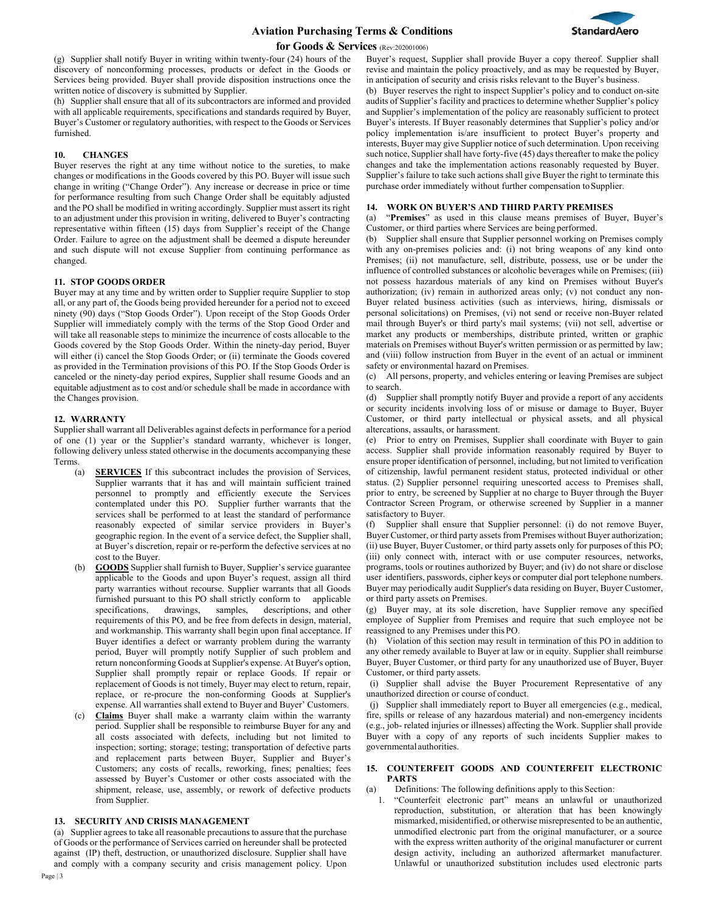

(g) Supplier shall notify Buyer in writing within twenty-four (24) hours of the discovery of nonconforming processes, products or defect in the Goods or Services being provided. Buyer shall provide disposition instructions once the written notice of discovery is submitted by Supplier.

(h) Supplier shall ensure that all of its subcontractors are informed and provided with all applicable requirements, specifications and standards required by Buyer, Buyer's Customer or regulatory authorities, with respect to the Goods or Services furnished.

### **10. CHANGES**

Buyer reserves the right at any time without notice to the sureties, to make changes or modifications in the Goods covered by this PO. Buyer will issue such change in writing ("Change Order"). Any increase or decrease in price or time for performance resulting from such Change Order shall be equitably adjusted and the PO shall be modified in writing accordingly. Supplier must assert its right to an adjustment under this provision in writing, delivered to Buyer's contracting representative within fifteen (15) days from Supplier's receipt of the Change Order. Failure to agree on the adjustment shall be deemed a dispute hereunder and such dispute will not excuse Supplier from continuing performance as changed.

### **11. STOP GOODS ORDER**

Buyer may at any time and by written order to Supplier require Supplier to stop all, or any part of, the Goods being provided hereunder for a period not to exceed ninety (90) days ("Stop Goods Order"). Upon receipt of the Stop Goods Order Supplier will immediately comply with the terms of the Stop Good Order and will take all reasonable steps to minimize the incurrence of costs allocable to the Goods covered by the Stop Goods Order. Within the ninety-day period, Buyer will either (i) cancel the Stop Goods Order; or (ii) terminate the Goods covered as provided in the Termination provisions of this PO. If the Stop Goods Order is canceled or the ninety-day period expires, Supplier shall resume Goods and an equitable adjustment as to cost and/or schedule shall be made in accordance with the Changes provision.

### **12. WARRANTY**

Supplier shall warrant all Deliverables against defects in performance for a period of one (1) year or the Supplier's standard warranty, whichever is longer, following delivery unless stated otherwise in the documents accompanying these Terms.

- (a) **SERVICES** If this subcontract includes the provision of Services, Supplier warrants that it has and will maintain sufficient trained personnel to promptly and efficiently execute the Services contemplated under this PO. Supplier further warrants that the services shall be performed to at least the standard of performance reasonably expected of similar service providers in Buyer's geographic region. In the event of a service defect, the Supplier shall, at Buyer's discretion, repair or re-perform the defective services at no cost to the Buyer.
- GOODS Supplier shall furnish to Buyer, Supplier's service guarantee applicable to the Goods and upon Buyer's request, assign all third party warranties without recourse. Supplier warrants that all Goods furnished pursuant to this PO shall strictly conform to applicable specifications, drawings, samples, descriptions, and other requirements of this PO, and be free from defects in design, material, and workmanship. This warranty shall begin upon final acceptance. If Buyer identifies a defect or warranty problem during the warranty period, Buyer will promptly notify Supplier of such problem and return nonconforming Goods at Supplier's expense. At Buyer's option, Supplier shall promptly repair or replace Goods. If repair or replacement of Goods is not timely, Buyer may elect to return, repair, replace, or re-procure the non-conforming Goods at Supplier's expense. All warranties shall extend to Buyer and Buyer' Customers.
- (c) **Claims** Buyer shall make a warranty claim within the warranty period. Supplier shall be responsible to reimburse Buyer for any and all costs associated with defects, including but not limited to inspection; sorting; storage; testing; transportation of defective parts and replacement parts between Buyer, Supplier and Buyer's Customers; any costs of recalls, reworking, fines; penalties; fees assessed by Buyer's Customer or other costs associated with the shipment, release, use, assembly, or rework of defective products from Supplier.

## **13. SECURITY AND CRISIS MANAGEMENT**

(a) Supplier agrees to take all reasonable precautions to assure that the purchase of Goods or the performance of Services carried on hereunder shall be protected against (IP) theft, destruction, or unauthorized disclosure. Supplier shall have and comply with a company security and crisis management policy. Upon audits of Supplier's facility and practices to determine whether Supplier's policy and Supplier's implementation of the policy are reasonably sufficient to protect Buyer's interests. If Buyer reasonably determines that Supplier's policy and/or policy implementation is/are insufficient to protect Buyer's property and interests, Buyer may give Supplier notice of such determination. Upon receiving such notice, Supplier shall have forty-five (45) days thereafter to make the policy changes and take the implementation actions reasonably requested by Buyer. Supplier's failure to take such actions shall give Buyer the right to terminate this purchase order immediately without further compensation to Supplier.

### **14. WORK ON BUYER'S AND THIRD PARTY PREMISES**

(a) "**Premises**" as used in this clause means premises of Buyer, Buyer's Customer, or third parties where Services are being performed.

(b) Supplier shall ensure that Supplier personnel working on Premises comply with any on-premises policies and: (i) not bring weapons of any kind onto Premises; (ii) not manufacture, sell, distribute, possess, use or be under the influence of controlled substances or alcoholic beverages while on Premises; (iii) not possess hazardous materials of any kind on Premises without Buyer's authorization; (iv) remain in authorized areas only; (v) not conduct any non-Buyer related business activities (such as interviews, hiring, dismissals or personal solicitations) on Premises, (vi) not send or receive non-Buyer related mail through Buyer's or third party's mail systems; (vii) not sell, advertise or market any products or memberships, distribute printed, written or graphic materials on Premises without Buyer's written permission or as permitted by law; and (viii) follow instruction from Buyer in the event of an actual or imminent safety or environmental hazard on Premises.

(c) All persons, property, and vehicles entering or leaving Premises are subject to search.

(d) Supplier shall promptly notify Buyer and provide a report of any accidents or security incidents involving loss of or misuse or damage to Buyer, Buyer Customer, or third party intellectual or physical assets, and all physical altercations, assaults, or harassment.

(e) Prior to entry on Premises, Supplier shall coordinate with Buyer to gain access. Supplier shall provide information reasonably required by Buyer to ensure proper identification of personnel, including, but not limited to verification of citizenship, lawful permanent resident status, protected individual or other status. (2) Supplier personnel requiring unescorted access to Premises shall, prior to entry, be screened by Supplier at no charge to Buyer through the Buyer Contractor Screen Program, or otherwise screened by Supplier in a manner satisfactory to Buyer.

(f) Supplier shall ensure that Supplier personnel: (i) do not remove Buyer, Buyer Customer, or third party assets from Premises without Buyer authorization; (ii) use Buyer, Buyer Customer, or third party assets only for purposes of this PO; (iii) only connect with, interact with or use computer resources, networks, programs, tools or routines authorized by Buyer; and (iv) do not share or disclose user identifiers, passwords, cipher keys or computer dial port telephone numbers. Buyer may periodically audit Supplier's data residing on Buyer, Buyer Customer, or third party assets on Premises.

(g) Buyer may, at its sole discretion, have Supplier remove any specified employee of Supplier from Premises and require that such employee not be reassigned to any Premises under this PO.

(h) Violation of this section may result in termination of this PO in addition to any other remedy available to Buyer at law or in equity. Supplier shall reimburse Buyer, Buyer Customer, or third party for any unauthorized use of Buyer, Buyer Customer, or third party assets.

(i) Supplier shall advise the Buyer Procurement Representative of any unauthorized direction or course of conduct.

(j) Supplier shall immediately report to Buyer all emergencies (e.g., medical, fire, spills or release of any hazardous material) and non-emergency incidents (e.g., job- related injuries or illnesses) affecting the Work. Supplier shall provide Buyer with a copy of any reports of such incidents Supplier makes to governmental authorities.

### **15. COUNTERFEIT GOODS AND COUNTERFEIT ELECTRONIC PARTS**

(a) Definitions: The following definitions apply to this Section:

1. "Counterfeit electronic part" means an unlawful or unauthorized reproduction, substitution, or alteration that has been knowingly mismarked, misidentified, or otherwise misrepresented to be an authentic, unmodified electronic part from the original manufacturer, or a source with the express written authority of the original manufacturer or current design activity, including an authorized aftermarket manufacturer. Unlawful or unauthorized substitution includes used electronic parts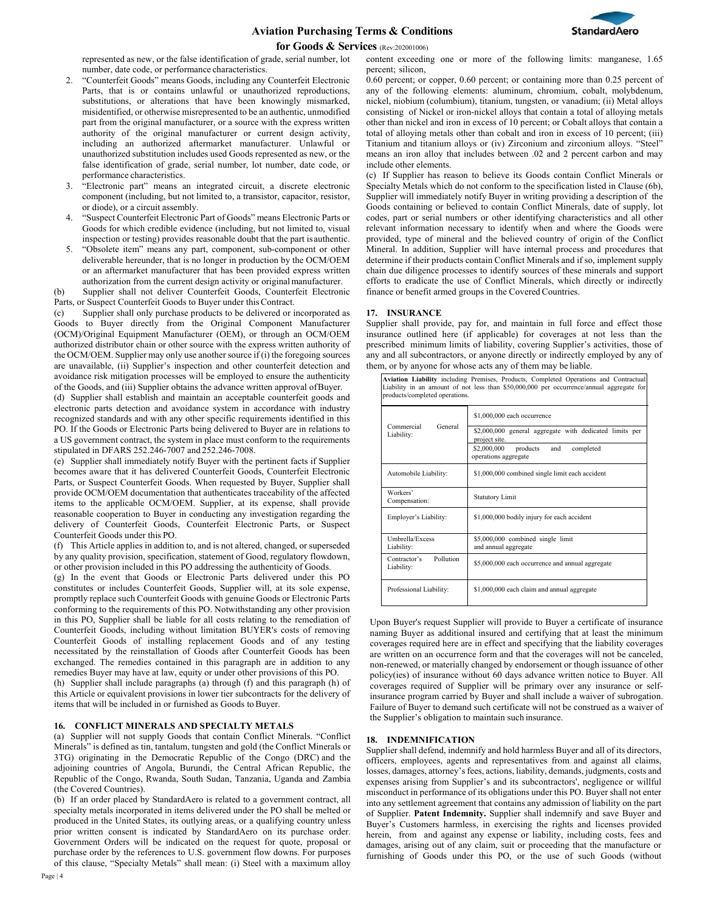



represented as new, or the false identification of grade, serial number, lot number, date code, or performance characteristics.

- 2. "Counterfeit Goods" means Goods, including any Counterfeit Electronic Parts, that is or contains unlawful or unauthorized reproductions, substitutions, or alterations that have been knowingly mismarked, misidentified, or otherwise misrepresented to be an authentic, unmodified part from the original manufacturer, or a source with the express written authority of the original manufacturer or current design activity, including an authorized aftermarket manufacturer. Unlawful or unauthorized substitution includes used Goods represented as new, or the false identification of grade, serial number, lot number, date code, or performance characteristics.
- 3. "Electronic part" means an integrated circuit, a discrete electronic component (including, but not limited to, a transistor, capacitor, resistor, or diode), or a circuit assembly.
- 4. "Suspect Counterfeit Electronic Part of Goods" means Electronic Parts or Goods for which credible evidence (including, but not limited to, visual inspection or testing) provides reasonable doubt that the part isauthentic.
- 5. "Obsolete item" means any part, component, sub-component or other deliverable hereunder, that is no longer in production by the OCM/OEM or an aftermarket manufacturer that has been provided express written authorization from the current design activity or originalmanufacturer.

(b) Supplier shall not deliver Counterfeit Goods, Counterfeit Electronic Parts, or Suspect Counterfeit Goods to Buyer under thisContract.

(c) Supplier shall only purchase products to be delivered or incorporated as Goods to Buyer directly from the Original Component Manufacturer (OCM)/Original Equipment Manufacturer (OEM), or through an OCM/OEM authorized distributor chain or other source with the express written authority of the OCM/OEM. Supplier may only use another source if (i) the foregoing sources are unavailable, (ii) Supplier's inspection and other counterfeit detection and avoidance risk mitigation processes will be employed to ensure the authenticity of the Goods, and (iii) Supplier obtains the advance written approval ofBuyer.

(d) Supplier shall establish and maintain an acceptable counterfeit goods and electronic parts detection and avoidance system in accordance with industry recognized standards and with any other specific requirements identified in this PO. If the Goods or Electronic Parts being delivered to Buyer are in relations to a US government contract, the system in place must conform to the requirements stipulated in DFARS 252.246-7007 and 252.246-7008.

(e) Supplier shall immediately notify Buyer with the pertinent facts if Supplier becomes aware that it has delivered Counterfeit Goods, Counterfeit Electronic Parts, or Suspect Counterfeit Goods. When requested by Buyer, Supplier shall provide OCM/OEM documentation that authenticates traceability of the affected items to the applicable OCM/OEM. Supplier, at its expense, shall provide reasonable cooperation to Buyer in conducting any investigation regarding the delivery of Counterfeit Goods, Counterfeit Electronic Parts, or Suspect Counterfeit Goods under this PO.

(f) This Article applies in addition to, and is not altered, changed, or superseded by any quality provision, specification, statement of Good, regulatory flowdown, or other provision included in this PO addressing the authenticity of Goods.

(g) In the event that Goods or Electronic Parts delivered under this PO constitutes or includes Counterfeit Goods, Supplier will, at its sole expense, promptly replace such Counterfeit Goods with genuine Goods or Electronic Parts conforming to the requirements of this PO. Notwithstanding any other provision in this PO, Supplier shall be liable for all costs relating to the remediation of Counterfeit Goods, including without limitation BUYER's costs of removing Counterfeit Goods of installing replacement Goods and of any testing necessitated by the reinstallation of Goods after Counterfeit Goods has been exchanged. The remedies contained in this paragraph are in addition to any remedies Buyer may have at law, equity or under other provisions of this PO.

(h) Supplier shall include paragraphs (a) through (f) and this paragraph (h) of this Article or equivalent provisions in lower tier subcontracts for the delivery of items that will be included in or furnished as Goods to Buyer.

### **16. CONFLICT MINERALS AND SPECIALTY METALS**

(a) Supplier will not supply Goods that contain Conflict Minerals. "Conflict Minerals" is defined as tin, tantalum, tungsten and gold (the Conflict Minerals or 3TG) originating in the Democratic Republic of the Congo (DRC) and the adjoining countries of Angola, Burundi, the Central African Republic, the Republic of the Congo, Rwanda, South Sudan, Tanzania, Uganda and Zambia (the Covered Countries).

(b) If an order placed by StandardAero is related to a government contract, all specialty metals incorporated in items delivered under the PO shall be melted or produced in the United States, its outlying areas, or a qualifying country unless prior written consent is indicated by StandardAero on its purchase order. Government Orders will be indicated on the request for quote, proposal or purchase order by the references to U.S. government flow downs. For purposes of this clause, "Specialty Metals" shall mean: (i) Steel with a maximum alloy content exceeding one or more of the following limits: manganese, 1.65 percent; silicon,

0.60 percent; or copper, 0.60 percent; or containing more than 0.25 percent of any of the following elements: aluminum, chromium, cobalt, molybdenum, nickel, niobium (columbium), titanium, tungsten, or vanadium; (ii) Metal alloys consisting of Nickel or iron-nickel alloys that contain a total of alloying metals other than nickel and iron in excess of 10 percent; or Cobalt alloys that contain a total of alloying metals other than cobalt and iron in excess of 10 percent; (iii) Titanium and titanium alloys or (iv) Zirconium and zirconium alloys. "Steel" means an iron alloy that includes between .02 and 2 percent carbon and may include other elements.

(c) If Supplier has reason to believe its Goods contain Conflict Minerals or Specialty Metals which do not conform to the specification listed in Clause (6b), Supplier will immediately notify Buyer in writing providing a description of the Goods containing or believed to contain Conflict Minerals, date of supply, lot codes, part or serial numbers or other identifying characteristics and all other relevant information necessary to identify when and where the Goods were provided, type of mineral and the believed country of origin of the Conflict Mineral. In addition, Supplier will have internal process and procedures that determine if their products contain Conflict Minerals and if so, implement supply chain due diligence processes to identify sources of these minerals and support efforts to eradicate the use of Conflict Minerals, which directly or indirectly finance or benefit armed groups in the Covered Countries.

### **17. INSURANCE**

Supplier shall provide, pay for, and maintain in full force and effect those insurance outlined here (if applicable) for coverages at not less than the prescribed minimum limits of liability, covering Supplier's activities, those of any and all subcontractors, or anyone directly or indirectly employed by any of them, or by anyone for whose acts any of them may be liable.

| Aviation Liability including Premises, Products, Completed Operations and Contractual<br>Liability in an amount of not less than \$50,000,000 per occurrence/annual aggregate for<br>products/completed operations. |                                                                                                                                                                             |
|---------------------------------------------------------------------------------------------------------------------------------------------------------------------------------------------------------------------|-----------------------------------------------------------------------------------------------------------------------------------------------------------------------------|
| Commercial<br>General<br>Liability:                                                                                                                                                                                 | \$1,000,000 each occurrence<br>\$2,000,000 general aggregate with dedicated limits per<br>project site.<br>\$2,000,000<br>products and<br>completed<br>operations aggregate |
| Automobile Liability:                                                                                                                                                                                               | \$1,000,000 combined single limit each accident                                                                                                                             |
| Workers'<br>Compensation:                                                                                                                                                                                           | <b>Statutory Limit</b>                                                                                                                                                      |
| Employer's Liability:                                                                                                                                                                                               | \$1,000,000 bodily injury for each accident                                                                                                                                 |
| Umbrella/Excess<br>Liability:                                                                                                                                                                                       | \$5,000,000 combined single limit<br>and annual aggregate                                                                                                                   |
| Pollution<br>Contractor's<br>Liability:                                                                                                                                                                             | \$5,000,000 each occurrence and annual aggregate                                                                                                                            |
| Professional Liability:                                                                                                                                                                                             | \$1,000,000 each claim and annual aggregate                                                                                                                                 |

Upon Buyer's request Supplier will provide to Buyer a certificate of insurance naming Buyer as additional insured and certifying that at least the minimum coverages required here are in effect and specifying that the liability coverages are written on an occurrence form and that the coverages will not be canceled, non-renewed, or materially changed by endorsement or though issuance of other policy(ies) of insurance without 60 days advance written notice to Buyer. All coverages required of Supplier will be primary over any insurance or selfinsurance program carried by Buyer and shall include a waiver of subrogation. Failure of Buyer to demand such certificate will not be construed as a waiver of the Supplier's obligation to maintain such insurance.

### **18. INDEMNIFICATION**

Supplier shall defend, indemnify and hold harmless Buyer and all of its directors, officers, employees, agents and representatives from and against all claims, losses, damages, attorney's fees, actions, liability, demands, judgments, costs and expenses arising from Supplier's and its subcontractors', negligence or willful misconduct in performance of its obligations under this PO. Buyer shall not enter into any settlement agreement that contains any admission of liability on the part of Supplier. **Patent Indemnity.** Supplier shall indemnify and save Buyer and Buyer's Customers harmless, in exercising the rights and licenses provided herein, from and against any expense or liability, including costs, fees and damages, arising out of any claim, suit or proceeding that the manufacture or furnishing of Goods under this PO, or the use of such Goods (without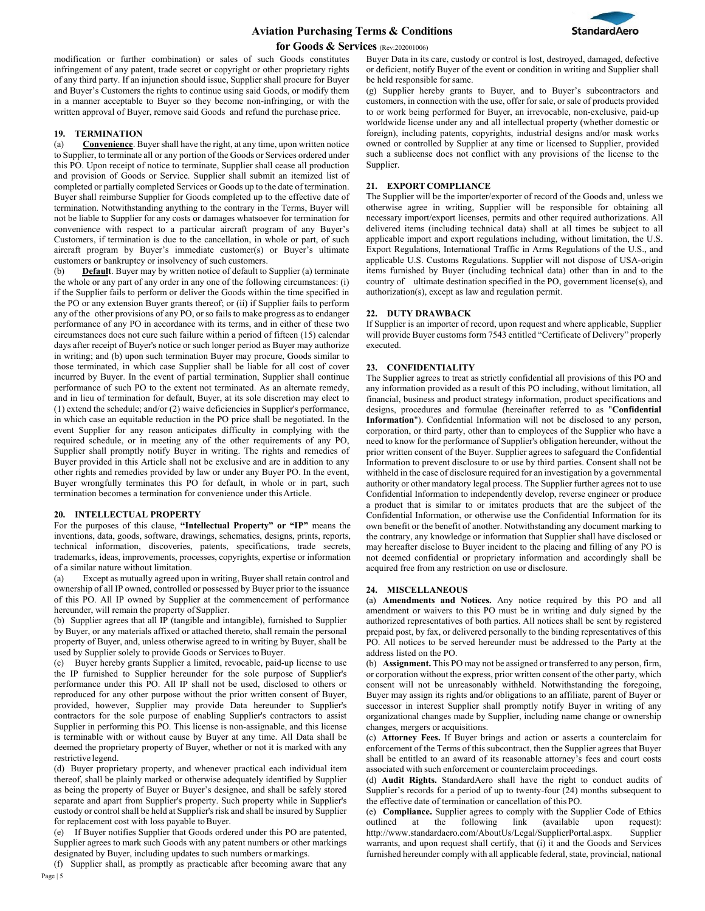

modification or further combination) or sales of such Goods constitutes infringement of any patent, trade secret or copyright or other proprietary rights of any third party. If an injunction should issue, Supplier shall procure for Buyer and Buyer's Customers the rights to continue using said Goods, or modify them in a manner acceptable to Buyer so they become non-infringing, or with the written approval of Buyer, remove said Goods and refund the purchase price.

### **19. TERMINATION**

(a) **Convenience**. Buyer shall have the right, at any time, upon written notice to Supplier, to terminate all or any portion of the Goods or Services ordered under this PO. Upon receipt of notice to terminate, Supplier shall cease all production and provision of Goods or Service. Supplier shall submit an itemized list of completed or partially completed Services or Goods up to the date of termination. Buyer shall reimburse Supplier for Goods completed up to the effective date of termination. Notwithstanding anything to the contrary in the Terms, Buyer will not be liable to Supplier for any costs or damages whatsoever for termination for convenience with respect to a particular aircraft program of any Buyer's Customers, if termination is due to the cancellation, in whole or part, of such aircraft program by Buyer's immediate customer(s) or Buyer's ultimate customers or bankruptcy or insolvency of such customers.

(b) **Default**. Buyer may by written notice of default to Supplier (a) terminate the whole or any part of any order in any one of the following circumstances: (i) if the Supplier fails to perform or deliver the Goods within the time specified in the PO or any extension Buyer grants thereof; or (ii) if Supplier fails to perform any of the other provisions of any PO, or so fails to make progress as to endanger performance of any PO in accordance with its terms, and in either of these two circumstances does not cure such failure within a period of fifteen (15) calendar days after receipt of Buyer's notice or such longer period as Buyer may authorize in writing; and (b) upon such termination Buyer may procure, Goods similar to those terminated, in which case Supplier shall be liable for all cost of cover incurred by Buyer. In the event of partial termination, Supplier shall continue performance of such PO to the extent not terminated. As an alternate remedy, and in lieu of termination for default, Buyer, at its sole discretion may elect to (1) extend the schedule; and/or (2) waive deficiencies in Supplier's performance, in which case an equitable reduction in the PO price shall be negotiated. In the event Supplier for any reason anticipates difficulty in complying with the required schedule, or in meeting any of the other requirements of any PO, Supplier shall promptly notify Buyer in writing. The rights and remedies of Buyer provided in this Article shall not be exclusive and are in addition to any other rights and remedies provided by law or under any Buyer PO. In the event, Buyer wrongfully terminates this PO for default, in whole or in part, such termination becomes a termination for convenience under thisArticle.

### **20. INTELLECTUAL PROPERTY**

For the purposes of this clause, **"Intellectual Property" or "IP"** means the inventions, data, goods, software, drawings, schematics, designs, prints, reports, technical information, discoveries, patents, specifications, trade secrets, trademarks, ideas, improvements, processes, copyrights, expertise or information of a similar nature without limitation.

(a) Except as mutually agreed upon in writing, Buyer shall retain control and ownership of all IP owned, controlled or possessed by Buyer prior to the issuance of this PO. All IP owned by Supplier at the commencement of performance hereunder, will remain the property of Supplier.

(b) Supplier agrees that all IP (tangible and intangible), furnished to Supplier by Buyer, or any materials affixed or attached thereto, shall remain the personal property of Buyer, and, unless otherwise agreed to in writing by Buyer, shall be used by Supplier solely to provide Goods or Services to Buyer.

(c) Buyer hereby grants Supplier a limited, revocable, paid-up license to use the IP furnished to Supplier hereunder for the sole purpose of Supplier's performance under this PO. All IP shall not be used, disclosed to others or reproduced for any other purpose without the prior written consent of Buyer, provided, however, Supplier may provide Data hereunder to Supplier's contractors for the sole purpose of enabling Supplier's contractors to assist Supplier in performing this PO. This license is non-assignable, and this license is terminable with or without cause by Buyer at any time. All Data shall be deemed the proprietary property of Buyer, whether or not it is marked with any restrictive legend.

(d) Buyer proprietary property, and whenever practical each individual item thereof, shall be plainly marked or otherwise adequately identified by Supplier as being the property of Buyer or Buyer's designee, and shall be safely stored separate and apart from Supplier's property. Such property while in Supplier's custody or control shall be held at Supplier's risk and shall be insured by Supplier for replacement cost with loss payable to Buyer.

(e) If Buyer notifies Supplier that Goods ordered under this PO are patented, Supplier agrees to mark such Goods with any patent numbers or other markings designated by Buyer, including updates to such numbers ormarkings.

(f) Supplier shall, as promptly as practicable after becoming aware that any

Buyer Data in its care, custody or control is lost, destroyed, damaged, defective or deficient, notify Buyer of the event or condition in writing and Supplier shall be held responsible forsame.

(g) Supplier hereby grants to Buyer, and to Buyer's subcontractors and customers, in connection with the use, offer for sale, or sale of products provided to or work being performed for Buyer, an irrevocable, non-exclusive, paid-up worldwide license under any and all intellectual property (whether domestic or foreign), including patents, copyrights, industrial designs and/or mask works owned or controlled by Supplier at any time or licensed to Supplier, provided such a sublicense does not conflict with any provisions of the license to the Supplier.

### **21. EXPORT COMPLIANCE**

The Supplier will be the importer/exporter of record of the Goods and, unless we otherwise agree in writing, Supplier will be responsible for obtaining all necessary import/export licenses, permits and other required authorizations. All delivered items (including technical data) shall at all times be subject to all applicable import and export regulations including, without limitation, the U.S. Export Regulations, International Traffic in Arms Regulations of the U.S., and applicable U.S. Customs Regulations. Supplier will not dispose of USA-origin items furnished by Buyer (including technical data) other than in and to the country of ultimate destination specified in the PO, government license(s), and authorization(s), except as law and regulation permit.

### **22. DUTY DRAWBACK**

If Supplier is an importer of record, upon request and where applicable, Supplier will provide Buyer customs form 7543 entitled "Certificate of Delivery" properly executed.

### **23. CONFIDENTIALITY**

The Supplier agrees to treat as strictly confidential all provisions of this PO and any information provided as a result of this PO including, without limitation, all financial, business and product strategy information, product specifications and designs, procedures and formulae (hereinafter referred to as "**Confidential Information**"). Confidential Information will not be disclosed to any person, corporation, or third party, other than to employees of the Supplier who have a need to know for the performance of Supplier's obligation hereunder, without the prior written consent of the Buyer. Supplier agrees to safeguard the Confidential Information to prevent disclosure to or use by third parties. Consent shall not be withheld in the case of disclosure required for an investigation by a governmental authority or other mandatory legal process. The Supplier further agrees not to use Confidential Information to independently develop, reverse engineer or produce a product that is similar to or imitates products that are the subject of the Confidential Information, or otherwise use the Confidential Information for its own benefit or the benefit of another. Notwithstanding any document marking to the contrary, any knowledge or information that Supplier shall have disclosed or may hereafter disclose to Buyer incident to the placing and filling of any PO is not deemed confidential or proprietary information and accordingly shall be acquired free from any restriction on use or disclosure.

#### **24. MISCELLANEOUS**

(a) **Amendments and Notices.** Any notice required by this PO and all amendment or waivers to this PO must be in writing and duly signed by the authorized representatives of both parties. All notices shall be sent by registered prepaid post, by fax, or delivered personally to the binding representatives of this PO. All notices to be served hereunder must be addressed to the Party at the address listed on the PO.

(b) **Assignment.** This PO may not be assigned or transferred to any person, firm, or corporation without the express, prior written consent of the other party, which consent will not be unreasonably withheld. Notwithstanding the foregoing, Buyer may assign its rights and/or obligations to an affiliate, parent of Buyer or successor in interest Supplier shall promptly notify Buyer in writing of any organizational changes made by Supplier, including name change or ownership changes, mergers or acquisitions.

(c) **Attorney Fees.** If Buyer brings and action or asserts a counterclaim for enforcement of the Terms of this subcontract, then the Supplier agrees that Buyer shall be entitled to an award of its reasonable attorney's fees and court costs associated with such enforcement or counterclaim proceedings.

(d) **Audit Rights.** StandardAero shall have the right to conduct audits of Supplier's records for a period of up to twenty-four (24) months subsequent to the effective date of termination or cancellation of this PO.

(e) **Compliance.** Supplier agrees to comply with the Supplier Code of Ethics outlined at the following link (available upon request):<br>http://www.standardaero.com/AboutUs/Legal/SupplierPortal.aspx. Supplier [http://www.standardaero.com/AboutUs/Legal/SupplierPortal.aspx.](http://www.standardaero.com/AboutUs/Legal/SupplierPortal.aspx) warrants, and upon request shall certify, that (i) it and the Goods and Services furnished hereunder comply with all applicable federal, state, provincial, national